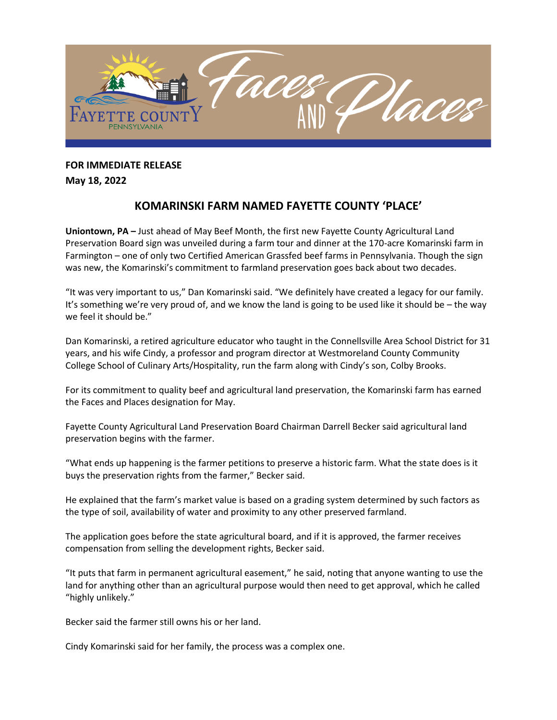

**FOR IMMEDIATE RELEASE** 

**May 18, 2022**

## **KOMARINSKI FARM NAMED FAYETTE COUNTY 'PLACE'**

**Uniontown, PA –** Just ahead of May Beef Month, the first new Fayette County Agricultural Land Preservation Board sign was unveiled during a farm tour and dinner at the 170-acre Komarinski farm in Farmington – one of only two Certified American Grassfed beef farms in Pennsylvania. Though the sign was new, the Komarinski's commitment to farmland preservation goes back about two decades.

"It was very important to us," Dan Komarinski said. "We definitely have created a legacy for our family. It's something we're very proud of, and we know the land is going to be used like it should be – the way we feel it should be."

Dan Komarinski, a retired agriculture educator who taught in the Connellsville Area School District for 31 years, and his wife Cindy, a professor and program director at Westmoreland County Community College School of Culinary Arts/Hospitality, run the farm along with Cindy's son, Colby Brooks.

For its commitment to quality beef and agricultural land preservation, the Komarinski farm has earned the Faces and Places designation for May.

Fayette County Agricultural Land Preservation Board Chairman Darrell Becker said agricultural land preservation begins with the farmer.

"What ends up happening is the farmer petitions to preserve a historic farm. What the state does is it buys the preservation rights from the farmer," Becker said.

He explained that the farm's market value is based on a grading system determined by such factors as the type of soil, availability of water and proximity to any other preserved farmland.

The application goes before the state agricultural board, and if it is approved, the farmer receives compensation from selling the development rights, Becker said.

"It puts that farm in permanent agricultural easement," he said, noting that anyone wanting to use the land for anything other than an agricultural purpose would then need to get approval, which he called "highly unlikely."

Becker said the farmer still owns his or her land.

Cindy Komarinski said for her family, the process was a complex one.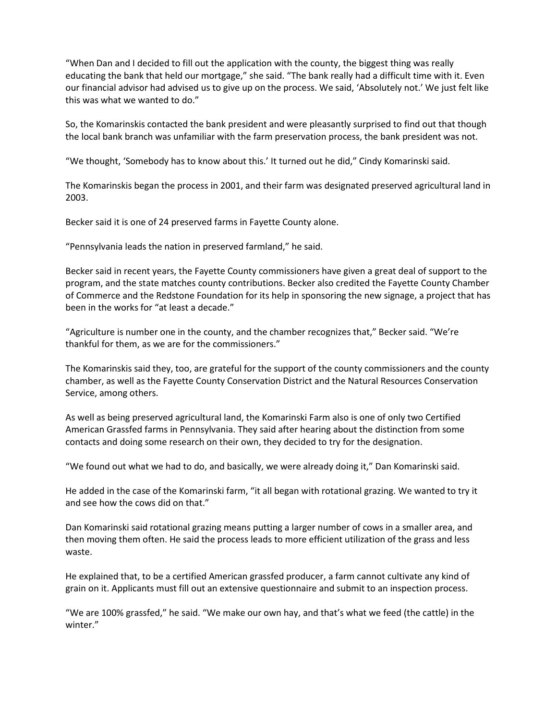"When Dan and I decided to fill out the application with the county, the biggest thing was really educating the bank that held our mortgage," she said. "The bank really had a difficult time with it. Even our financial advisor had advised us to give up on the process. We said, 'Absolutely not.' We just felt like this was what we wanted to do."

So, the Komarinskis contacted the bank president and were pleasantly surprised to find out that though the local bank branch was unfamiliar with the farm preservation process, the bank president was not.

"We thought, 'Somebody has to know about this.' It turned out he did," Cindy Komarinski said.

The Komarinskis began the process in 2001, and their farm was designated preserved agricultural land in 2003.

Becker said it is one of 24 preserved farms in Fayette County alone.

"Pennsylvania leads the nation in preserved farmland," he said.

Becker said in recent years, the Fayette County commissioners have given a great deal of support to the program, and the state matches county contributions. Becker also credited the Fayette County Chamber of Commerce and the Redstone Foundation for its help in sponsoring the new signage, a project that has been in the works for "at least a decade."

"Agriculture is number one in the county, and the chamber recognizes that," Becker said. "We're thankful for them, as we are for the commissioners."

The Komarinskis said they, too, are grateful for the support of the county commissioners and the county chamber, as well as the Fayette County Conservation District and the Natural Resources Conservation Service, among others.

As well as being preserved agricultural land, the Komarinski Farm also is one of only two Certified American Grassfed farms in Pennsylvania. They said after hearing about the distinction from some contacts and doing some research on their own, they decided to try for the designation.

"We found out what we had to do, and basically, we were already doing it," Dan Komarinski said.

He added in the case of the Komarinski farm, "it all began with rotational grazing. We wanted to try it and see how the cows did on that."

Dan Komarinski said rotational grazing means putting a larger number of cows in a smaller area, and then moving them often. He said the process leads to more efficient utilization of the grass and less waste.

He explained that, to be a certified American grassfed producer, a farm cannot cultivate any kind of grain on it. Applicants must fill out an extensive questionnaire and submit to an inspection process.

"We are 100% grassfed," he said. "We make our own hay, and that's what we feed (the cattle) in the winter."